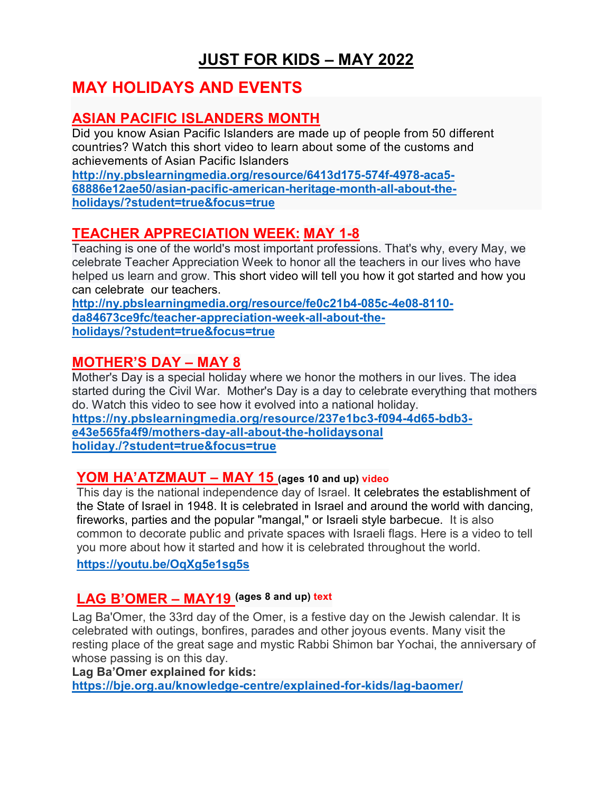# **JUST FOR KIDS – MAY 2022**

# **MAY HOLIDAYS AND EVENTS**

## **ASIAN PACIFIC ISLANDERS MONTH**

Did you know Asian Pacific Islanders are made up of people from 50 different countries? Watch this short video to learn about some of the customs and achievements of Asian Pacific Islanders

**[http://ny.pbslearningmedia.org/resource/6413d175-574f-4978-aca5-](http://ny.pbslearningmedia.org/resource/6413d175-574f-4978-aca5-68886e12ae50/asian-pacific-american-heritage-month-all-about-the-holidays/?student=true&focus=true) [68886e12ae50/asian-pacific-american-heritage-month-all-about-the](http://ny.pbslearningmedia.org/resource/6413d175-574f-4978-aca5-68886e12ae50/asian-pacific-american-heritage-month-all-about-the-holidays/?student=true&focus=true)[holidays/?student=true&focus=true](http://ny.pbslearningmedia.org/resource/6413d175-574f-4978-aca5-68886e12ae50/asian-pacific-american-heritage-month-all-about-the-holidays/?student=true&focus=true)**

## **TEACHER APPRECIATION WEEK: MAY 1-8**

Teaching is one of the world's most important professions. That's why, every May, we celebrate Teacher Appreciation Week to honor all the teachers in our lives who have helped us learn and grow. This short video will tell you how it got started and how you can celebrate our teachers.

**[http://ny.pbslearningmedia.org/resource/fe0c21b4-085c-4e08-8110](http://ny.pbslearningmedia.org/resource/fe0c21b4-085c-4e08-8110-da84673ce9fc/teacher-appreciation-week-all-about-the-holidays/?student=true&focus=true) [da84673ce9fc/teacher-appreciation-week-all-about-the](http://ny.pbslearningmedia.org/resource/fe0c21b4-085c-4e08-8110-da84673ce9fc/teacher-appreciation-week-all-about-the-holidays/?student=true&focus=true)[holidays/?student=true&focus=true](http://ny.pbslearningmedia.org/resource/fe0c21b4-085c-4e08-8110-da84673ce9fc/teacher-appreciation-week-all-about-the-holidays/?student=true&focus=true)**

### **MOTHER'S DAY – MAY 8**

Mother's Day is a special holiday where we honor the mothers in our lives. The idea started during the Civil War. Mother's Day is a day to celebrate everything that mothers do. Watch this video to see how it evolved into a national holiday. **[https://ny.pbslearningmedia.org/resource/237e1bc3-f094-4d65-bdb3-](https://ny.pbslearningmedia.org/resource/237e1bc3-f094-4d65-bdb3-e43e565fa4f9/mothers-day-all-about-the-holidaysonal%20holiday./?student=true&focus=true)**

**[e43e565fa4f9/mothers-day-all-about-the-holidaysonal](https://ny.pbslearningmedia.org/resource/237e1bc3-f094-4d65-bdb3-e43e565fa4f9/mothers-day-all-about-the-holidaysonal%20holiday./?student=true&focus=true)  [holiday./?student=true&focus=true](https://ny.pbslearningmedia.org/resource/237e1bc3-f094-4d65-bdb3-e43e565fa4f9/mothers-day-all-about-the-holidaysonal%20holiday./?student=true&focus=true)**

### **YOM HA'ATZMAUT – MAY 15 (ages 10 and up) video**

This day is the national independence day of Israel. It celebrates the establishment of the State of Israel in 1948. It is celebrated in Israel and around the world with dancing, fireworks, parties and the popular "mangal," or Israeli style barbecue. It is also common to decorate public and private spaces with Israeli flags. Here is a video to tell you more about how it started and how it is celebrated throughout the world.

**<https://youtu.be/OqXg5e1sg5s>**

## **LAG B'OMER – MAY19 (ages 8 and up) text**

Lag Ba'Omer, the 33rd day of the Omer, is a festive day on the Jewish calendar. It is celebrated with outings, bonfires, parades and other joyous events. Many visit the resting place of the great sage and mystic Rabbi Shimon bar Yochai, the anniversary of whose passing is on this day.

**Lag Ba'Omer explained for kids:**

**<https://bje.org.au/knowledge-centre/explained-for-kids/lag-baomer/>**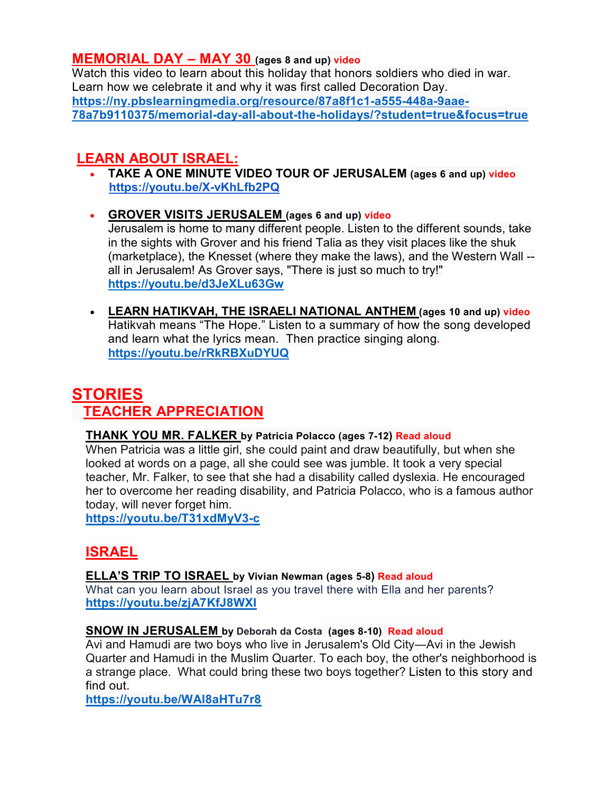### **MEMORIAL DAY – MAY 30 (ages 8 and up) video**

Watch this video to learn about this holiday that honors soldiers who died in war. Learn how we celebrate it and why it was first called Decoration Day. **[https://ny.pbslearningmedia.org/resource/87a8f1c1-a555-448a-9aae-](https://ny.pbslearningmedia.org/resource/87a8f1c1-a555-448a-9aae-78a7b9110375/memorial-day-all-about-the-holidays/?student=true&focus=true)[78a7b9110375/memorial-day-all-about-the-holidays/?student=true&focus=true](https://ny.pbslearningmedia.org/resource/87a8f1c1-a555-448a-9aae-78a7b9110375/memorial-day-all-about-the-holidays/?student=true&focus=true)**

## **LEARN ABOUT ISRAEL:**

- **TAKE A ONE MINUTE VIDEO TOUR OF JERUSALEM (ages 6 and up) video <https://youtu.be/X-vKhLfb2PQ>**
- **GROVER VISITS JERUSALEM (ages 6 and up) video** Jerusalem is home to many different people. Listen to the different sounds, take in the sights with Grover and his friend Talia as they visit places like the shuk (marketplace), the Knesset (where they make the laws), and the Western Wall - all in Jerusalem! As Grover says, "There is just so much to try!" **<https://youtu.be/d3JeXLu63Gw>**
- **LEARN [HATIKVAH, THE ISRAELI NATIONAL ANTHEM](https://r.search.yahoo.com/_ylt=AwrFcKSIK1Ni_Fsdpmj8w8QF;_ylu=c2VjA2NkLWF0dHIEc2xrA3NvdXJjZQR2dGlkAwRydXJsA2h0dHBzOi8vd3d3LnlvdXR1YmUuY29tL3dhdGNoP3Y9clJrUkJYdURZVVE-/RV=2/RE=1649646600/RO=10/RU=https%3a%2f%2fwww.youtube.com%2fwatch%3fv%3drRkRBXuDYUQ/RK=2/RS=FKGju8u7ISFaPXXWvMXvqxD_TT8-) (ages 10 and up) video** Hatikvah means "The Hope." Listen to a summary of how the song developed and learn what the lyrics mean. Then practice singing along**. <https://youtu.be/rRkRBXuDYUQ>**

# **STORIES TEACHER APPRECIATION**

#### **THANK YOU MR. FALKER by Patricia Polacco (ages 7-12) Read aloud**

When Patricia was a little girl, she could paint and draw beautifully, but when she looked at words on a page, all she could see was jumble. It took a very special teacher, Mr. Falker, to see that she had a disability called dyslexia. He encouraged her to overcome her reading disability, and Patricia Polacco, who is a famous author today, will never forget him.

**<https://youtu.be/T31xdMyV3-c>**

# **ISRAEL**

#### **ELLA'S TRIP TO ISRAEL by Vivian Newman (ages 5-8) Read aloud**

What can you learn about Israel as you travel there with Ella and her parents? **<https://youtu.be/zjA7KfJ8WXI>**

#### **SNOW IN JERUSALEM by Deborah da Costa (ages 8-10) Read aloud**

Avi and Hamudi are two boys who live in Jerusalem's Old City―Avi in the Jewish Quarter and Hamudi in the Muslim Quarter. To each boy, the other's neighborhood is a strange place. What could bring these two boys together? Listen to this story and find out.

**<https://youtu.be/WAl8aHTu7r8>**